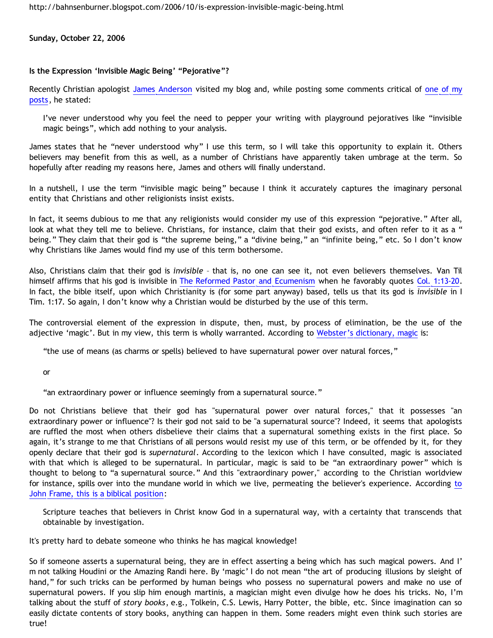<http://bahnsenburner.blogspot.com/2006/10/is-expression-invisible-magic-being.html>

**Sunday, October 22, 2006**

## **Is the Expression 'Invisible Magic Being' "Pejorative"?**

Recently Christian apologist [James Anderson](http://www.proginosko.com/writing.html) visited my blog and, while posting some comments critical of [one of my](http://bahnsenburner.blogspot.com/2006/09/frames-summary-of-van-tils-oma.html) [posts,](http://bahnsenburner.blogspot.com/2006/09/frames-summary-of-van-tils-oma.html) he stated:

I've never understood why you feel the need to pepper your writing with playground pejoratives like "invisible magic beings", which add nothing to your analysis.

James states that he "never understood why" I use this term, so I will take this opportunity to explain it. Others believers may benefit from this as well, as a number of Christians have apparently taken umbrage at the term. So hopefully after reading my reasons here, James and others will finally understand.

In a nutshell, I use the term "invisible magic being" because I think it accurately captures the imaginary personal entity that Christians and other religionists insist exists.

In fact, it seems dubious to me that any religionists would consider my use of this expression "pejorative." After all, look at what they tell me to believe. Christians, for instance, claim that their god exists, and often refer to it as a " being." They claim that their god is "the supreme being," a "divine being," an "infinite being," etc. So I don't know why Christians like James would find my use of this term bothersome.

Also, Christians claim that their god is *invisible* – that is, no one can see it, not even believers themselves. Van Til himself affirms that his god is invisible in [The Reformed Pastor and Ecumenism](http://www.the-highway.com/ecumenism_VanTil.html) when he favorably quotes [Col. 1:13-20](http://www.biblegateway.com/passage/?search=Col.%201:13-20;&version=9;). In fact, the bible itself, upon which Christianity is (for some part anyway) based, tells us that its god is *invisible* in I Tim. 1:17. So again, I don't know why a Christian would be disturbed by the use of this term.

The controversial element of the expression in dispute, then, must, by process of elimination, be the use of the adjective 'magic'. But in my view, this term is wholly warranted. According to [Webster's dictionary, magic](http://www.m-w.com/dictionary/magic) is:

"the use of means (as charms or spells) believed to have supernatural power over natural forces,"

or

"an extraordinary power or influence seemingly from a supernatural source."

Do not Christians believe that their god has "supernatural power over natural forces," that it possesses "an extraordinary power or influence"? Is their god not said to be "a supernatural source"? Indeed, it seems that apologists are ruffled the most when others disbelieve their claims that a supernatural something exists in the first place. So again, it's strange to me that Christians of all persons would resist my use of this term, or be offended by it, for they openly declare that their god is *supernatural*. According to the lexicon which I have consulted, magic is associated with that which is alleged to be supernatural. In particular, magic is said to be "an extraordinary power" which is thought to belong to "a supernatural source." And this "extraordinary power," according to the Christian worldview for instance, spills over in[to](http://www.frame-poythress.org/frame_articles/2005Presuppositional.htm) the mundane world in which we live, permeating the believer's experience. According to [John Frame, this is a biblical position:](http://www.frame-poythress.org/frame_articles/2005Presuppositional.htm)

Scripture teaches that believers in Christ know God in a supernatural way, with a certainty that transcends that obtainable by investigation.

It's pretty hard to debate someone who thinks he has magical knowledge!

So if someone asserts a supernatural being, they are in effect asserting a being which has such magical powers. And I' m not talking Houdini or the Amazing Randi here. By 'magic' I do not mean "the art of producing illusions by sleight of hand," for such tricks can be performed by human beings who possess no supernatural powers and make no use of supernatural powers. If you slip him enough martinis, a magician might even divulge how he does his tricks. No, I'm talking about the stuff of *story books*, e.g., Tolkein, C.S. Lewis, Harry Potter, the bible, etc. Since imagination can so easily dictate contents of story books, anything can happen in them. Some readers might even think such stories are true!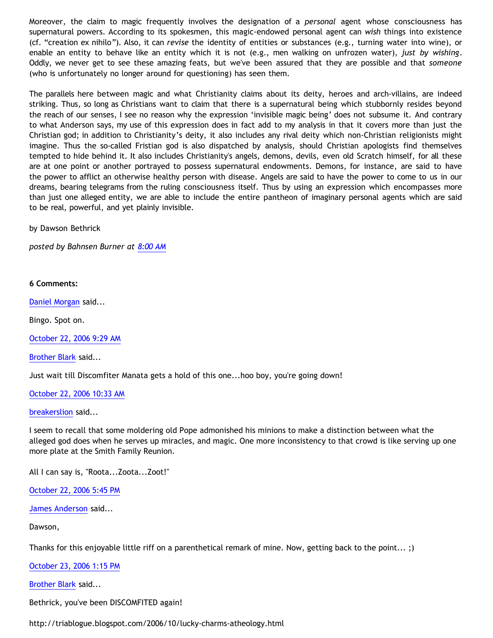Moreover, the claim to magic frequently involves the designation of a *personal* agent whose consciousness has supernatural powers. According to its spokesmen, this magic-endowed personal agent can *wish* things into existence (cf. "creation ex nihilo"). Also, it can *revise* the identity of entities or substances (e.g., turning water into wine), or enable an entity to behave like an entity which it is not (e.g., men walking on unfrozen water), *just by wishing*. Oddly, we never get to see these amazing feats, but we've been assured that they are possible and that *someone* (who is unfortunately no longer around for questioning) has seen them.

The parallels here between magic and what Christianity claims about its deity, heroes and arch-villains, are indeed striking. Thus, so long as Christians want to claim that there is a supernatural being which stubbornly resides beyond the reach of our senses, I see no reason why the expression 'invisible magic being' does not subsume it. And contrary to what Anderson says, my use of this expression does in fact add to my analysis in that it covers more than just the Christian god; in addition to Christianity's deity, it also includes any rival deity which non-Christian religionists might imagine. Thus the so-called Fristian god is also dispatched by analysis, should Christian apologists find themselves tempted to hide behind it. It also includes Christianity's angels, demons, devils, even old Scratch himself, for all these are at one point or another portrayed to possess supernatural endowments. Demons, for instance, are said to have the power to afflict an otherwise healthy person with disease. Angels are said to have the power to come to us in our dreams, bearing telegrams from the ruling consciousness itself. Thus by using an expression which encompasses more than just one alleged entity, we are able to include the entire pantheon of imaginary personal agents which are said to be real, powerful, and yet plainly invisible.

by Dawson Bethrick

*posted by Bahnsen Burner at [8:00 AM](http://bahnsenburner.blogspot.com/2006/10/is-expression-invisible-magic-being.html)*

## **6 Comments:**

[Daniel Morgan](http://www.blogger.com/profile/15150803) said...

Bingo. Spot on.

[October 22, 2006 9:29 AM](http://bahnsenburner.blogspot.com/2006/10/116153455697711464)

[Brother Blark](http://www.blogger.com/profile/29482551) said...

Just wait till Discomfiter Manata gets a hold of this one...hoo boy, you're going down!

[October 22, 2006 10:33 AM](http://bahnsenburner.blogspot.com/2006/10/116153839530071397)

## [breakerslion](http://www.blogger.com/profile/8227868) said...

I seem to recall that some moldering old Pope admonished his minions to make a distinction between what the alleged god does when he serves up miracles, and magic. One more inconsistency to that crowd is like serving up one more plate at the Smith Family Reunion.

All I can say is, "Roota...Zoota...Zoot!"

[October 22, 2006 5:45 PM](http://bahnsenburner.blogspot.com/2006/10/116156435666159385)

[James Anderson](http://www.blogger.com/profile/8293423) said...

## Dawson,

Thanks for this enjoyable little riff on a parenthetical remark of mine. Now, getting back to the point... ;)

[October 23, 2006 1:15 PM](http://bahnsenburner.blogspot.com/2006/10/116163453065655997)

[Brother Blark](http://www.blogger.com/profile/29482551) said...

Bethrick, you've been DISCOMFITED again!

<http://triablogue.blogspot.com/2006/10/lucky-charms-atheology.html>